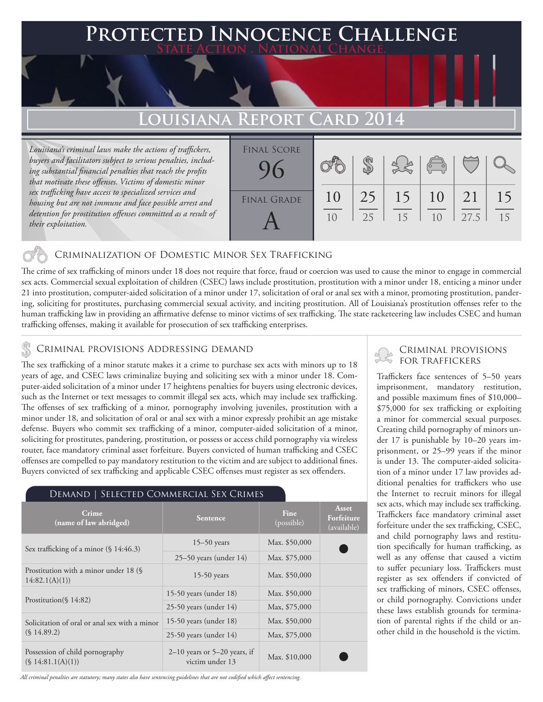### **FED INNOCENCE CHALLENGE State Action . National Change.**

## Louisiana Report Card

*Louisiana's criminal laws make the actions of traffickers, buyers and facilitators subject to serious penalties, including substantial financial penalties that reach the profits that motivate these offenses. Victims of domestic minor sex trafficking have access to specialized services and housing but are not immune and face possible arrest and detention for prostitution offenses committed as a result of their exploitation.*

| <b>FINAL SCORE</b> |    |    |    | $\begin{pmatrix} 1 & 1 \\ 0 & 1 \end{pmatrix}$ |      |    |
|--------------------|----|----|----|------------------------------------------------|------|----|
| <b>FINAL GRADE</b> | 10 | 25 | 15 | 10                                             | 21   | 15 |
|                    | 10 | 25 | 15 | 10                                             | 27.5 | 15 |

### Criminalization of Domestic Minor Sex Trafficking

The crime of sex trafficking of minors under 18 does not require that force, fraud or coercion was used to cause the minor to engage in commercial sex acts. Commercial sexual exploitation of children (CSEC) laws include prostitution, prostitution with a minor under 18, enticing a minor under 21 into prostitution, computer-aided solicitation of a minor under 17, solicitation of oral or anal sex with a minor, promoting prostitution, pandering, soliciting for prostitutes, purchasing commercial sexual activity, and inciting prostitution. All of Louisiana's prostitution offenses refer to the human trafficking law in providing an affirmative defense to minor victims of sex trafficking. The state racketeering law includes CSEC and human trafficking offenses, making it available for prosecution of sex trafficking enterprises.

### CRIMINAL PROVISIONS ADDRESSING DEMAND

The sex trafficking of a minor statute makes it a crime to purchase sex acts with minors up to 18 years of age, and CSEC laws criminalize buying and soliciting sex with a minor under 18. Computer-aided solicitation of a minor under 17 heightens penalties for buyers using electronic devices, such as the Internet or text messages to commit illegal sex acts, which may include sex trafficking. The offenses of sex trafficking of a minor, pornography involving juveniles, prostitution with a minor under 18, and solicitation of oral or anal sex with a minor expressly prohibit an age mistake defense. Buyers who commit sex trafficking of a minor, computer-aided solicitation of a minor, soliciting for prostitutes, pandering, prostitution, or possess or access child pornography via wireless router, face mandatory criminal asset forfeiture. Buyers convicted of human trafficking and CSEC offenses are compelled to pay mandatory restitution to the victim and are subject to additional fines. Buyers convicted of sex trafficking and applicable CSEC offenses must register as sex offenders.

# Demand | Selected Commercial Sex Crimes

| Crime<br>(name of law abridged)                         | <b>Sentence</b>                                   | Fine<br>(possible) | Asset<br>Forfeiture<br>(available) |
|---------------------------------------------------------|---------------------------------------------------|--------------------|------------------------------------|
| Sex trafficking of a minor $(\S 14:46.3)$               | $15-50$ years                                     | Max. \$50,000      |                                    |
|                                                         | $25-50$ years (under 14)                          | Max. \$75,000      |                                    |
| Prostitution with a minor under 18 (§<br>14:82.1(A)(1)) | $15-50$ years                                     | Max. \$50,000      |                                    |
| Prostitution( $\{14:82\}$ )                             | 15-50 years (under $18$ )                         | Max. \$50,000      |                                    |
|                                                         | $25-50$ years (under 14)                          | Max, \$75,000      |                                    |
| Solicitation of oral or anal sex with a minor           | 15-50 years (under $18$ )                         | Max. \$50,000      |                                    |
| (S.14.89.2)                                             | $25-50$ years (under 14)                          | Max, \$75,000      |                                    |
| Possession of child pornography<br>(S 14:81.1(A)(1))    | $2-10$ years or 5-20 years, if<br>victim under 13 | Max. \$10,000      |                                    |

*All criminal penalties are statutory; many states also have sentencing guidelines that are not codified which affect sentencing.* 

### Criminal provisions for traffickers

Traffickers face sentences of 5–50 years imprisonment, mandatory restitution, and possible maximum fines of \$10,000– \$75,000 for sex trafficking or exploiting a minor for commercial sexual purposes. Creating child pornography of minors under 17 is punishable by 10–20 years imprisonment, or 25–99 years if the minor is under 13. The computer-aided solicitation of a minor under 17 law provides additional penalties for traffickers who use the Internet to recruit minors for illegal sex acts, which may include sex trafficking. Traffickers face mandatory criminal asset forfeiture under the sex trafficking, CSEC, and child pornography laws and restitution specifically for human trafficking, as well as any offense that caused a victim to suffer pecuniary loss. Traffickers must register as sex offenders if convicted of sex trafficking of minors, CSEC offenses, or child pornography. Convictions under these laws establish grounds for termination of parental rights if the child or another child in the household is the victim.